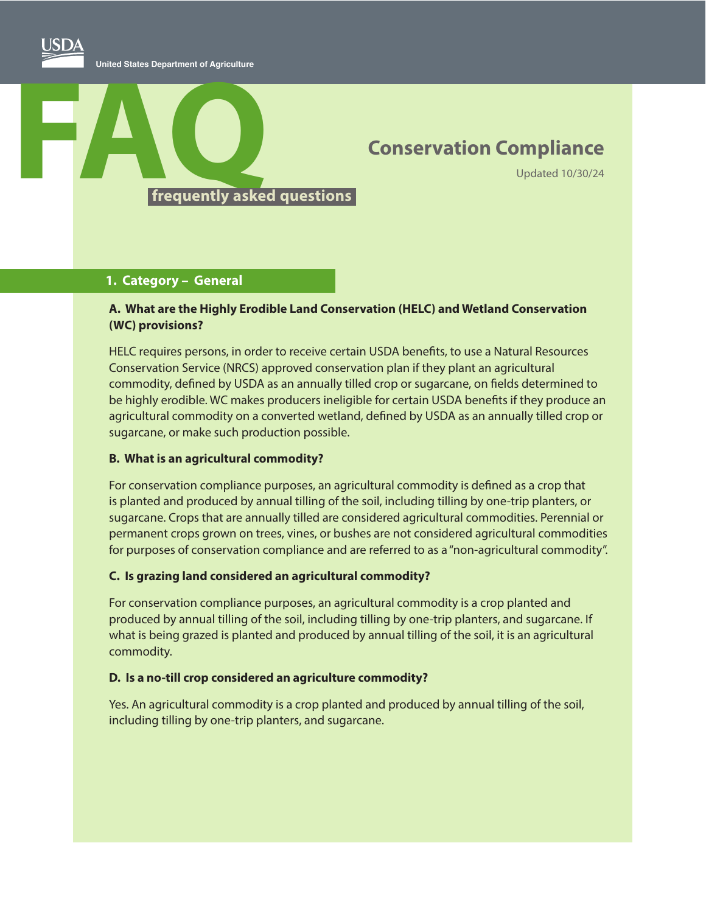# **Conservation Compliance**

Updated 10/30/24

#### **1. Category – General**

#### **A. What are the Highly Erodible Land Conservation (HELC) and Wetland Conservation (WC) provisions?**

HELC requires persons, in order to receive certain USDA benefits, to use a Natural Resources Conservation Service (NRCS) approved conservation plan if they plant an agricultural commodity, defined by USDA as an annually tilled crop or sugarcane, on fields determined to be highly erodible. WC makes producers ineligible for certain USDA benefits if they produce an agricultural commodity on a converted wetland, defined by USDA as an annually tilled crop or sugarcane, or make such production possible.

#### **B. What is an agricultural commodity?**

For conservation compliance purposes, an agricultural commodity is defined as a crop that is planted and produced by annual tilling of the soil, including tilling by one-trip planters, or sugarcane. Crops that are annually tilled are considered agricultural commodities. Perennial or permanent crops grown on trees, vines, or bushes are not considered agricultural commodities for purposes of conservation compliance and are referred to as a "non-agricultural commodity".

#### **C. Is grazing land considered an agricultural commodity?**

For conservation compliance purposes, an agricultural commodity is a crop planted and produced by annual tilling of the soil, including tilling by one-trip planters, and sugarcane. If what is being grazed is planted and produced by annual tilling of the soil, it is an agricultural commodity.

#### **D. Is a no-till crop considered an agriculture commodity?**

Yes. An agricultural commodity is a crop planted and produced by annual tilling of the soil, including tilling by one-trip planters, and sugarcane.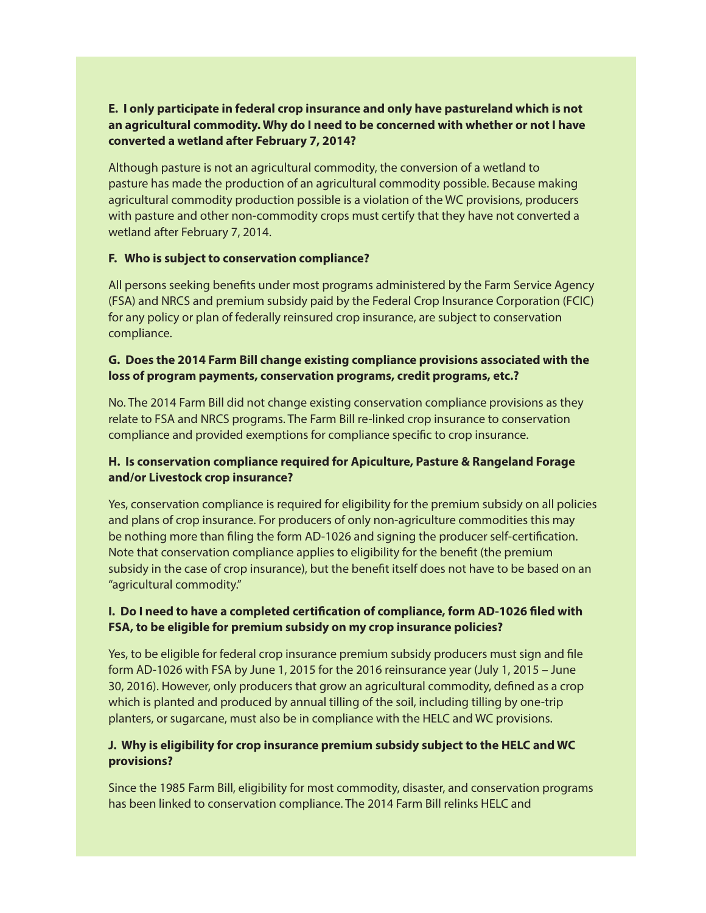# **E. I only participate in federal crop insurance and only have pastureland which is not an agricultural commodity. Why do I need to be concerned with whether or not I have converted a wetland after February 7, 2014?**

Although pasture is not an agricultural commodity, the conversion of a wetland to pasture has made the production of an agricultural commodity possible. Because making agricultural commodity production possible is a violation of the WC provisions, producers with pasture and other non-commodity crops must certify that they have not converted a wetland after February 7, 2014.

#### **F. Who is subject to conservation compliance?**

All persons seeking benefits under most programs administered by the Farm Service Agency (FSA) and NRCS and premium subsidy paid by the Federal Crop Insurance Corporation (FCIC) for any policy or plan of federally reinsured crop insurance, are subject to conservation compliance.

# **G. Does the 2014 Farm Bill change existing compliance provisions associated with the loss of program payments, conservation programs, credit programs, etc.?**

No. The 2014 Farm Bill did not change existing conservation compliance provisions as they relate to FSA and NRCS programs. The Farm Bill re-linked crop insurance to conservation compliance and provided exemptions for compliance specific to crop insurance.

# **H. Is conservation compliance required for Apiculture, Pasture & Rangeland Forage and/or Livestock crop insurance?**

Yes, conservation compliance is required for eligibility for the premium subsidy on all policies and plans of crop insurance. For producers of only non-agriculture commodities this may be nothing more than filing the form AD-1026 and signing the producer self-certification. Note that conservation compliance applies to eligibility for the benefit (the premium subsidy in the case of crop insurance), but the benefit itself does not have to be based on an "agricultural commodity."

# **I. Do I need to have a completed certification of compliance, form AD-1026 filed with FSA, to be eligible for premium subsidy on my crop insurance policies?**

Yes, to be eligible for federal crop insurance premium subsidy producers must sign and file form AD-1026 with FSA by June 1, 2015 for the 2016 reinsurance year (July 1, 2015 – June 30, 2016). However, only producers that grow an agricultural commodity, defined as a crop which is planted and produced by annual tilling of the soil, including tilling by one-trip planters, or sugarcane, must also be in compliance with the HELC and WC provisions.

# **J. Why is eligibility for crop insurance premium subsidy subject to the HELC and WC provisions?**

Since the 1985 Farm Bill, eligibility for most commodity, disaster, and conservation programs has been linked to conservation compliance. The 2014 Farm Bill relinks HELC and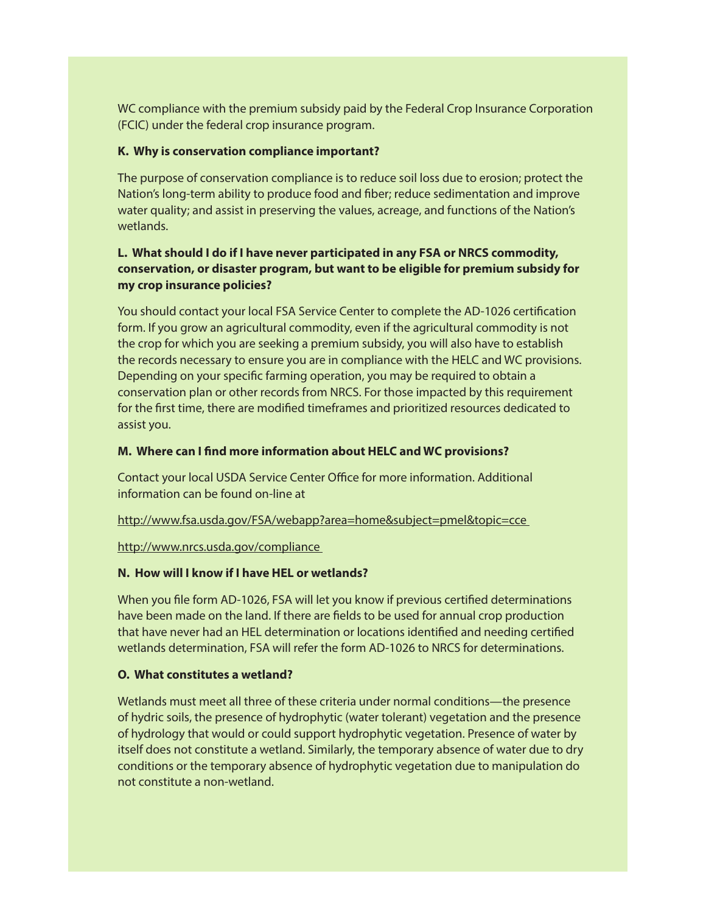WC compliance with the premium subsidy paid by the Federal Crop Insurance Corporation (FCIC) under the federal crop insurance program.

#### **K. Why is conservation compliance important?**

The purpose of conservation compliance is to reduce soil loss due to erosion; protect the Nation's long-term ability to produce food and fiber; reduce sedimentation and improve water quality; and assist in preserving the values, acreage, and functions of the Nation's wetlands.

# **L. What should I do if I have never participated in any FSA or NRCS commodity, conservation, or disaster program, but want to be eligible for premium subsidy for my crop insurance policies?**

You should contact your local FSA Service Center to complete the AD-1026 certification form. If you grow an agricultural commodity, even if the agricultural commodity is not the crop for which you are seeking a premium subsidy, you will also have to establish the records necessary to ensure you are in compliance with the HELC and WC provisions. Depending on your specific farming operation, you may be required to obtain a conservation plan or other records from NRCS. For those impacted by this requirement for the first time, there are modified timeframes and prioritized resources dedicated to assist you.

#### **M. Where can I find more information about HELC and WC provisions?**

Contact your local USDA Service Center Office for more information. Additional information can be found on-line at

http://www.fsa.usda.gov/FSA/webapp?area=home&subject=pmel&topic=cce

#### http://www.nrcs.usda.gov/compliance

# **N. How will I know if I have HEL or wetlands?**

When you file form AD-1026, FSA will let you know if previous certified determinations have been made on the land. If there are fields to be used for annual crop production that have never had an HEL determination or locations identified and needing certified wetlands determination, FSA will refer the form AD-1026 to NRCS for determinations.

# **O. What constitutes a wetland?**

Wetlands must meet all three of these criteria under normal conditions—the presence of hydric soils, the presence of hydrophytic (water tolerant) vegetation and the presence of hydrology that would or could support hydrophytic vegetation. Presence of water by itself does not constitute a wetland. Similarly, the temporary absence of water due to dry conditions or the temporary absence of hydrophytic vegetation due to manipulation do not constitute a non-wetland.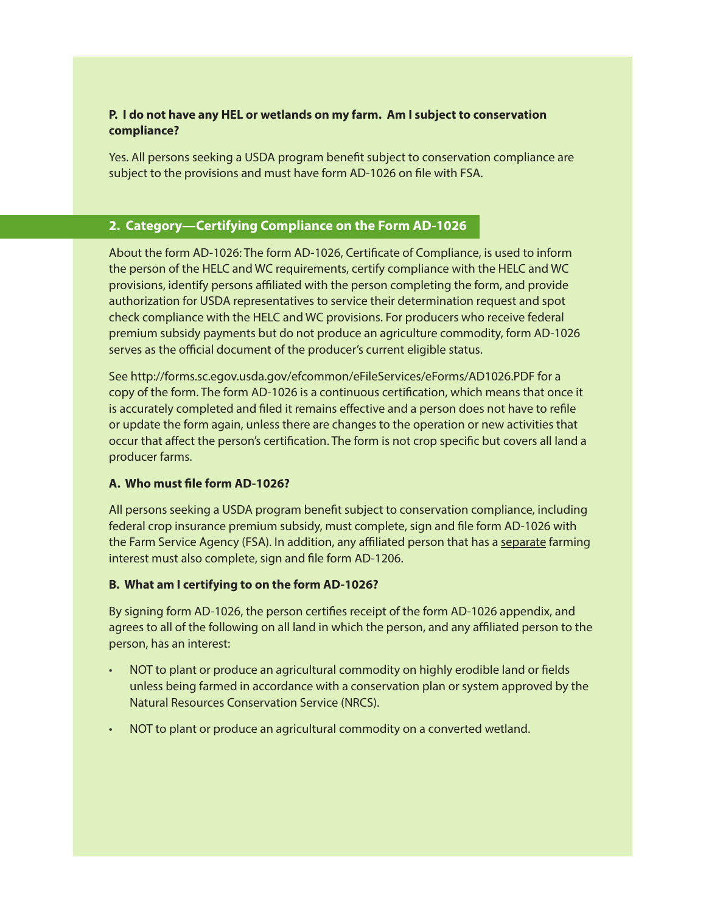# **P. I do not have any HEL or wetlands on my farm. Am I subject to conservation compliance?**

Yes. All persons seeking a USDA program benefit subject to conservation compliance are subject to the provisions and must have form AD-1026 on file with FSA.

# **2. Category—Certifying Compliance on the Form AD-1026**

About the form AD-1026: The form AD-1026, Certificate of Compliance, is used to inform the person of the HELC and WC requirements, certify compliance with the HELC and WC provisions, identify persons affiliated with the person completing the form, and provide authorization for USDA representatives to service their determination request and spot check compliance with the HELC and WC provisions. For producers who receive federal premium subsidy payments but do not produce an agriculture commodity, form AD-1026 serves as the official document of the producer's current eligible status.

See http://forms.sc.egov.usda.gov/efcommon/eFileServices/eForms/AD1026.PDF for a copy of the form. The form AD-1026 is a continuous certification, which means that once it is accurately completed and filed it remains effective and a person does not have to refile or update the form again, unless there are changes to the operation or new activities that occur that affect the person's certification. The form is not crop specific but covers all land a producer farms.

#### **A. Who must file form AD-1026?**

All persons seeking a USDA program benefit subject to conservation compliance, including federal crop insurance premium subsidy, must complete, sign and file form AD-1026 with the Farm Service Agency (FSA). In addition, any affiliated person that has a separate farming interest must also complete, sign and file form AD-1206.

#### **B. What am I certifying to on the form AD-1026?**

By signing form AD-1026, the person certifies receipt of the form AD-1026 appendix, and agrees to all of the following on all land in which the person, and any affiliated person to the person, has an interest:

- NOT to plant or produce an agricultural commodity on highly erodible land or fields unless being farmed in accordance with a conservation plan or system approved by the Natural Resources Conservation Service (NRCS).
- NOT to plant or produce an agricultural commodity on a converted wetland.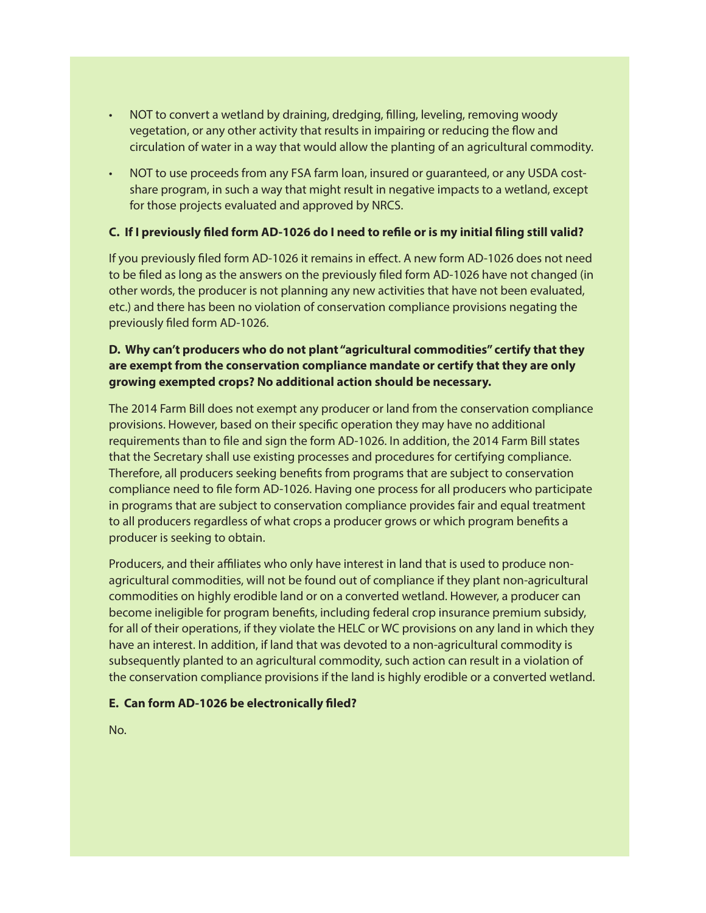- NOT to convert a wetland by draining, dredging, filling, leveling, removing woody vegetation, or any other activity that results in impairing or reducing the flow and circulation of water in a way that would allow the planting of an agricultural commodity.
- NOT to use proceeds from any FSA farm loan, insured or guaranteed, or any USDA costshare program, in such a way that might result in negative impacts to a wetland, except for those projects evaluated and approved by NRCS.

#### **C. If I previously filed form AD-1026 do I need to refile or is my initial filing still valid?**

If you previously filed form AD-1026 it remains in effect. A new form AD-1026 does not need to be filed as long as the answers on the previously filed form AD-1026 have not changed (in other words, the producer is not planning any new activities that have not been evaluated, etc.) and there has been no violation of conservation compliance provisions negating the previously filed form AD-1026.

# **D. Why can't producers who do not plant "agricultural commodities" certify that they are exempt from the conservation compliance mandate or certify that they are only growing exempted crops? No additional action should be necessary.**

The 2014 Farm Bill does not exempt any producer or land from the conservation compliance provisions. However, based on their specific operation they may have no additional requirements than to file and sign the form AD-1026. In addition, the 2014 Farm Bill states that the Secretary shall use existing processes and procedures for certifying compliance. Therefore, all producers seeking benefits from programs that are subject to conservation compliance need to file form AD-1026. Having one process for all producers who participate in programs that are subject to conservation compliance provides fair and equal treatment to all producers regardless of what crops a producer grows or which program benefits a producer is seeking to obtain.

Producers, and their affiliates who only have interest in land that is used to produce nonagricultural commodities, will not be found out of compliance if they plant non-agricultural commodities on highly erodible land or on a converted wetland. However, a producer can become ineligible for program benefits, including federal crop insurance premium subsidy, for all of their operations, if they violate the HELC or WC provisions on any land in which they have an interest. In addition, if land that was devoted to a non-agricultural commodity is subsequently planted to an agricultural commodity, such action can result in a violation of the conservation compliance provisions if the land is highly erodible or a converted wetland.

#### **E. Can form AD-1026 be electronically filed?**

No.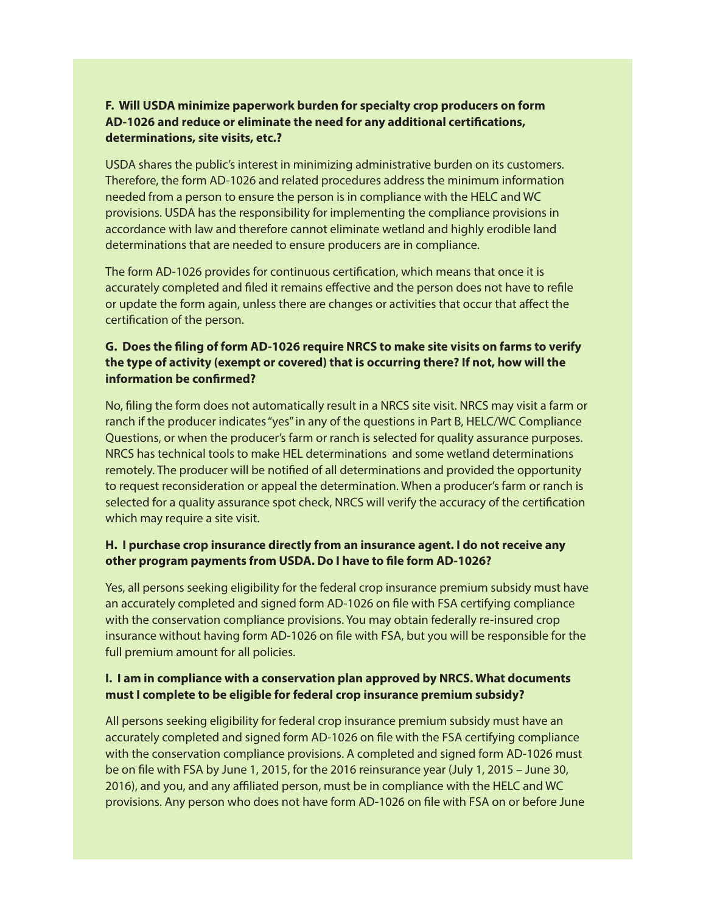# **F. Will USDA minimize paperwork burden for specialty crop producers on form AD-1026 and reduce or eliminate the need for any additional certifications, determinations, site visits, etc.?**

USDA shares the public's interest in minimizing administrative burden on its customers. Therefore, the form AD-1026 and related procedures address the minimum information needed from a person to ensure the person is in compliance with the HELC and WC provisions. USDA has the responsibility for implementing the compliance provisions in accordance with law and therefore cannot eliminate wetland and highly erodible land determinations that are needed to ensure producers are in compliance.

The form AD-1026 provides for continuous certification, which means that once it is accurately completed and filed it remains effective and the person does not have to refile or update the form again, unless there are changes or activities that occur that affect the certification of the person.

# **G. Does the filing of form AD-1026 require NRCS to make site visits on farms to verify the type of activity (exempt or covered) that is occurring there? If not, how will the information be confirmed?**

No, filing the form does not automatically result in a NRCS site visit. NRCS may visit a farm or ranch if the producer indicates "yes" in any of the questions in Part B, HELC/WC Compliance Questions, or when the producer's farm or ranch is selected for quality assurance purposes. NRCS has technical tools to make HEL determinations and some wetland determinations remotely. The producer will be notified of all determinations and provided the opportunity to request reconsideration or appeal the determination. When a producer's farm or ranch is selected for a quality assurance spot check, NRCS will verify the accuracy of the certification which may require a site visit.

# **H. I purchase crop insurance directly from an insurance agent. I do not receive any other program payments from USDA. Do I have to file form AD-1026?**

Yes, all persons seeking eligibility for the federal crop insurance premium subsidy must have an accurately completed and signed form AD-1026 on file with FSA certifying compliance with the conservation compliance provisions. You may obtain federally re-insured crop insurance without having form AD-1026 on file with FSA, but you will be responsible for the full premium amount for all policies.

# **I. I am in compliance with a conservation plan approved by NRCS. What documents must I complete to be eligible for federal crop insurance premium subsidy?**

All persons seeking eligibility for federal crop insurance premium subsidy must have an accurately completed and signed form AD-1026 on file with the FSA certifying compliance with the conservation compliance provisions. A completed and signed form AD-1026 must be on file with FSA by June 1, 2015, for the 2016 reinsurance year (July 1, 2015 – June 30, 2016), and you, and any affiliated person, must be in compliance with the HELC and WC provisions. Any person who does not have form AD-1026 on file with FSA on or before June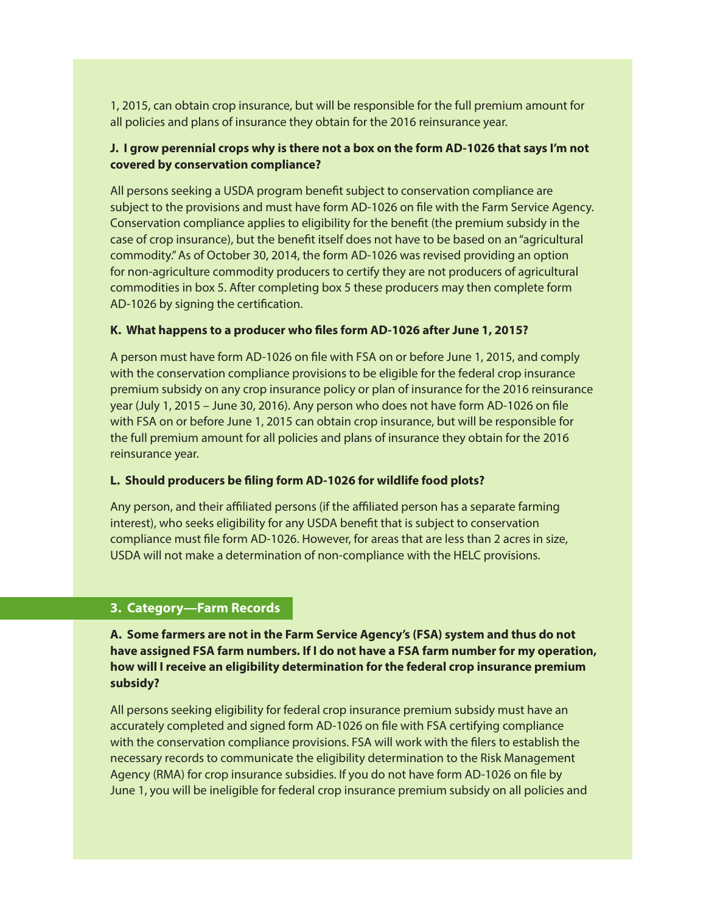1, 2015, can obtain crop insurance, but will be responsible for the full premium amount for all policies and plans of insurance they obtain for the 2016 reinsurance year.

# **J. I grow perennial crops why is there not a box on the form AD-1026 that says I'm not covered by conservation compliance?**

All persons seeking a USDA program benefit subject to conservation compliance are subject to the provisions and must have form AD-1026 on file with the Farm Service Agency. Conservation compliance applies to eligibility for the benefit (the premium subsidy in the case of crop insurance), but the benefit itself does not have to be based on an "agricultural commodity." As of October 30, 2014, the form AD-1026 was revised providing an option for non-agriculture commodity producers to certify they are not producers of agricultural commodities in box 5. After completing box 5 these producers may then complete form AD-1026 by signing the certification.

#### **K. What happens to a producer who files form AD-1026 after June 1, 2015?**

A person must have form AD-1026 on file with FSA on or before June 1, 2015, and comply with the conservation compliance provisions to be eligible for the federal crop insurance premium subsidy on any crop insurance policy or plan of insurance for the 2016 reinsurance year (July 1, 2015 – June 30, 2016). Any person who does not have form AD-1026 on file with FSA on or before June 1, 2015 can obtain crop insurance, but will be responsible for the full premium amount for all policies and plans of insurance they obtain for the 2016 reinsurance year.

#### **L. Should producers be filing form AD-1026 for wildlife food plots?**

Any person, and their affiliated persons (if the affiliated person has a separate farming interest), who seeks eligibility for any USDA benefit that is subject to conservation compliance must file form AD-1026. However, for areas that are less than 2 acres in size, USDA will not make a determination of non-compliance with the HELC provisions.

# **3. Category—Farm Records**

**A. Some farmers are not in the Farm Service Agency's (FSA) system and thus do not have assigned FSA farm numbers. If I do not have a FSA farm number for my operation, how will I receive an eligibility determination for the federal crop insurance premium subsidy?** 

All persons seeking eligibility for federal crop insurance premium subsidy must have an accurately completed and signed form AD-1026 on file with FSA certifying compliance with the conservation compliance provisions. FSA will work with the filers to establish the necessary records to communicate the eligibility determination to the Risk Management Agency (RMA) for crop insurance subsidies. If you do not have form AD-1026 on file by June 1, you will be ineligible for federal crop insurance premium subsidy on all policies and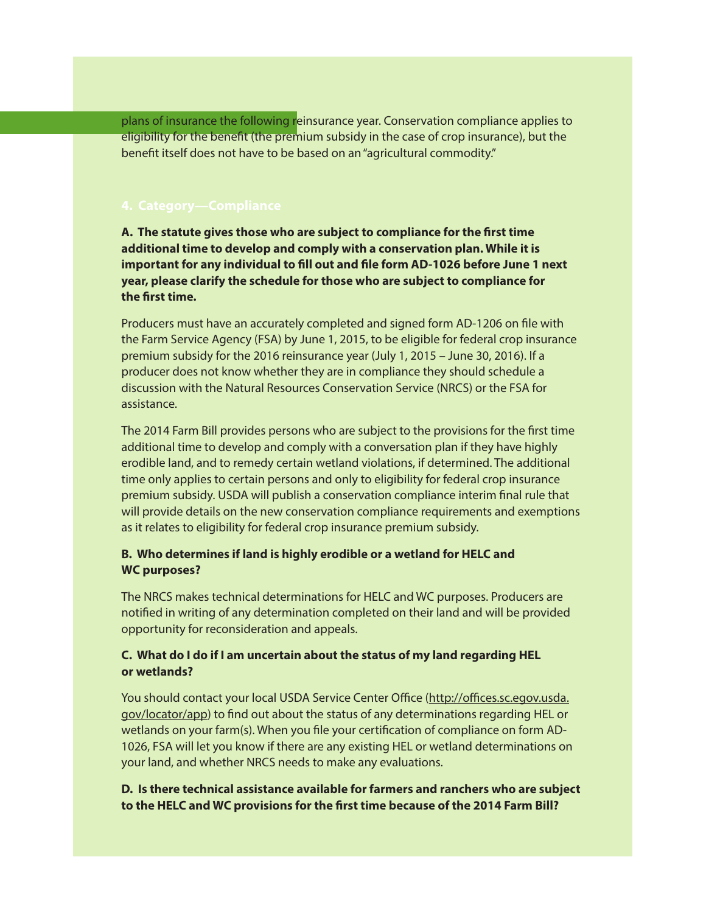plans of insurance the following reinsurance year. Conservation compliance applies to eligibility for the benefit (the premium subsidy in the case of crop insurance), but the benefit itself does not have to be based on an "agricultural commodity."

**A. The statute gives those who are subject to compliance for the first time additional time to develop and comply with a conservation plan. While it is important for any individual to fill out and file form AD-1026 before June 1 next year, please clarify the schedule for those who are subject to compliance for the first time.** 

Producers must have an accurately completed and signed form AD-1206 on file with the Farm Service Agency (FSA) by June 1, 2015, to be eligible for federal crop insurance premium subsidy for the 2016 reinsurance year (July 1, 2015 – June 30, 2016). If a producer does not know whether they are in compliance they should schedule a discussion with the Natural Resources Conservation Service (NRCS) or the FSA for assistance.

The 2014 Farm Bill provides persons who are subject to the provisions for the first time additional time to develop and comply with a conversation plan if they have highly erodible land, and to remedy certain wetland violations, if determined. The additional time only applies to certain persons and only to eligibility for federal crop insurance premium subsidy. USDA will publish a conservation compliance interim final rule that will provide details on the new conservation compliance requirements and exemptions as it relates to eligibility for federal crop insurance premium subsidy.

#### **B. Who determines if land is highly erodible or a wetland for HELC and WC purposes?**

The NRCS makes technical determinations for HELC and WC purposes. Producers are notified in writing of any determination completed on their land and will be provided opportunity for reconsideration and appeals.

#### **C. What do I do if I am uncertain about the status of my land regarding HEL or wetlands?**

You should contact your local USDA Service Center Office (http://offices.sc.egov.usda. gov/locator/app) to find out about the status of any determinations regarding HEL or wetlands on your farm(s). When you file your certification of compliance on form AD-1026, FSA will let you know if there are any existing HEL or wetland determinations on your land, and whether NRCS needs to make any evaluations.

#### **D. Is there technical assistance available for farmers and ranchers who are subject to the HELC and WC provisions for the first time because of the 2014 Farm Bill?**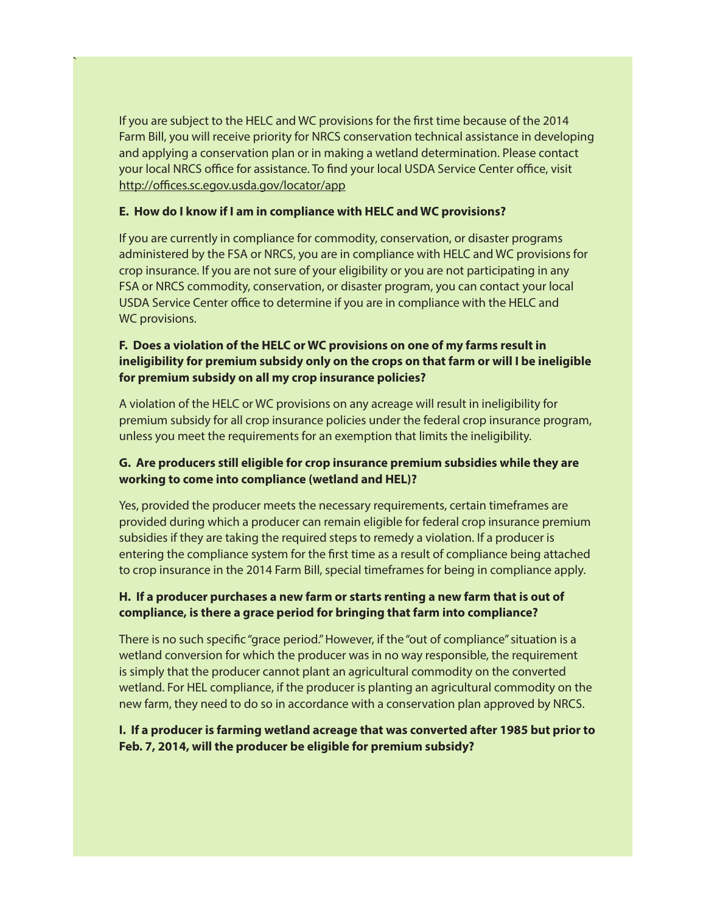If you are subject to the HELC and WC provisions for the first time because of the 2014 Farm Bill, you will receive priority for NRCS conservation technical assistance in developing and applying a conservation plan or in making a wetland determination. Please contact your local NRCS office for assistance. To find your local USDA Service Center office, visit http://offices.sc.egov.usda.gov/locator/app

#### **E. How do I know if I am in compliance with HELC and WC provisions?**

`

If you are currently in compliance for commodity, conservation, or disaster programs administered by the FSA or NRCS, you are in compliance with HELC and WC provisions for crop insurance. If you are not sure of your eligibility or you are not participating in any FSA or NRCS commodity, conservation, or disaster program, you can contact your local USDA Service Center office to determine if you are in compliance with the HELC and WC provisions.

# **F. Does a violation of the HELC or WC provisions on one of my farms result in ineligibility for premium subsidy only on the crops on that farm or will I be ineligible for premium subsidy on all my crop insurance policies?**

A violation of the HELC or WC provisions on any acreage will result in ineligibility for premium subsidy for all crop insurance policies under the federal crop insurance program, unless you meet the requirements for an exemption that limits the ineligibility.

# **G. Are producers still eligible for crop insurance premium subsidies while they are working to come into compliance (wetland and HEL)?**

Yes, provided the producer meets the necessary requirements, certain timeframes are provided during which a producer can remain eligible for federal crop insurance premium subsidies if they are taking the required steps to remedy a violation. If a producer is entering the compliance system for the first time as a result of compliance being attached to crop insurance in the 2014 Farm Bill, special timeframes for being in compliance apply.

# **H. If a producer purchases a new farm or starts renting a new farm that is out of compliance, is there a grace period for bringing that farm into compliance?**

There is no such specific "grace period." However, if the "out of compliance" situation is a wetland conversion for which the producer was in no way responsible, the requirement is simply that the producer cannot plant an agricultural commodity on the converted wetland. For HEL compliance, if the producer is planting an agricultural commodity on the new farm, they need to do so in accordance with a conservation plan approved by NRCS.

# **I. If a producer is farming wetland acreage that was converted after 1985 but prior to Feb. 7, 2014, will the producer be eligible for premium subsidy?**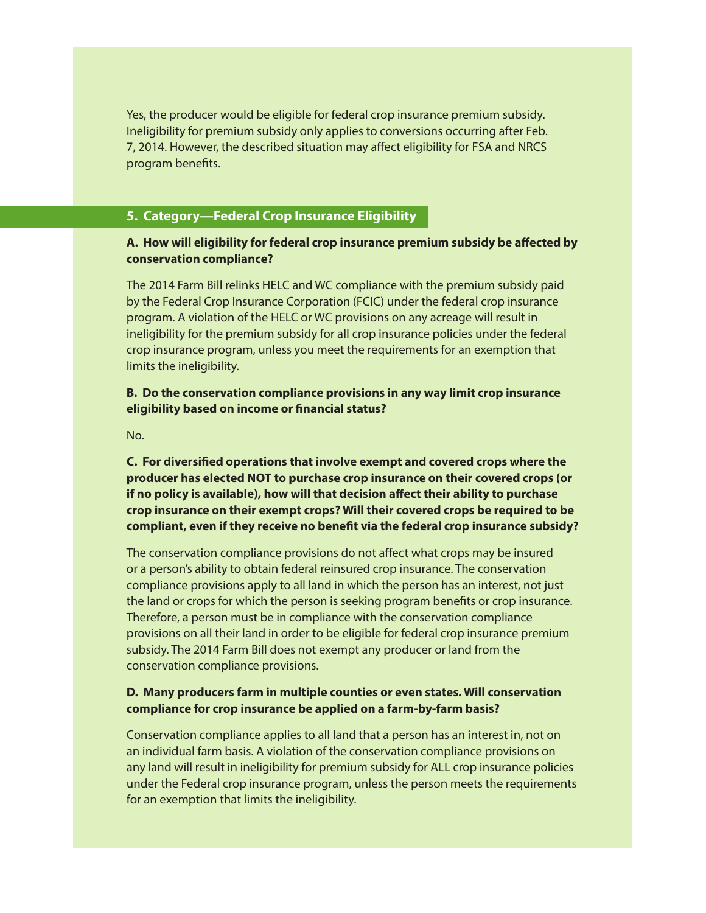Yes, the producer would be eligible for federal crop insurance premium subsidy. Ineligibility for premium subsidy only applies to conversions occurring after Feb. 7, 2014. However, the described situation may affect eligibility for FSA and NRCS program benefits.

# **5. Category—Federal Crop Insurance Eligibility**

#### **A. How will eligibility for federal crop insurance premium subsidy be affected by conservation compliance?**

The 2014 Farm Bill relinks HELC and WC compliance with the premium subsidy paid by the Federal Crop Insurance Corporation (FCIC) under the federal crop insurance program. A violation of the HELC or WC provisions on any acreage will result in ineligibility for the premium subsidy for all crop insurance policies under the federal crop insurance program, unless you meet the requirements for an exemption that limits the ineligibility.

#### **B. Do the conservation compliance provisions in any way limit crop insurance eligibility based on income or financial status?**

No.

**C. For diversified operations that involve exempt and covered crops where the producer has elected NOT to purchase crop insurance on their covered crops (or if no policy is available), how will that decision affect their ability to purchase crop insurance on their exempt crops? Will their covered crops be required to be compliant, even if they receive no benefit via the federal crop insurance subsidy?**

The conservation compliance provisions do not affect what crops may be insured or a person's ability to obtain federal reinsured crop insurance. The conservation compliance provisions apply to all land in which the person has an interest, not just the land or crops for which the person is seeking program benefits or crop insurance. Therefore, a person must be in compliance with the conservation compliance provisions on all their land in order to be eligible for federal crop insurance premium subsidy. The 2014 Farm Bill does not exempt any producer or land from the conservation compliance provisions.

#### **D. Many producers farm in multiple counties or even states. Will conservation compliance for crop insurance be applied on a farm-by-farm basis?**

Conservation compliance applies to all land that a person has an interest in, not on an individual farm basis. A violation of the conservation compliance provisions on any land will result in ineligibility for premium subsidy for ALL crop insurance policies under the Federal crop insurance program, unless the person meets the requirements for an exemption that limits the ineligibility.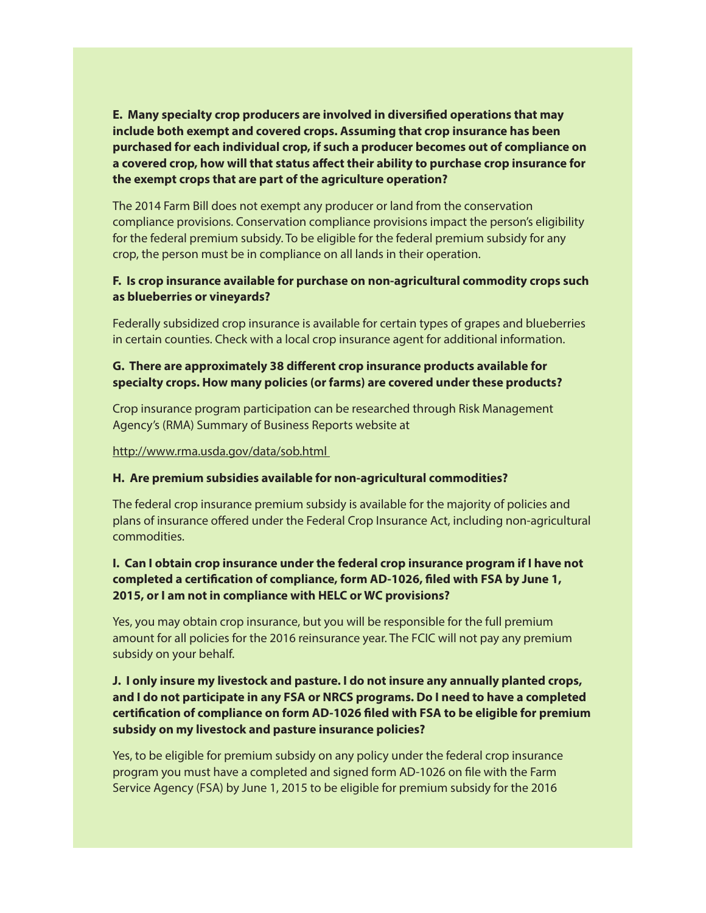**E. Many specialty crop producers are involved in diversified operations that may include both exempt and covered crops. Assuming that crop insurance has been purchased for each individual crop, if such a producer becomes out of compliance on a covered crop, how will that status affect their ability to purchase crop insurance for the exempt crops that are part of the agriculture operation?**

The 2014 Farm Bill does not exempt any producer or land from the conservation compliance provisions. Conservation compliance provisions impact the person's eligibility for the federal premium subsidy. To be eligible for the federal premium subsidy for any crop, the person must be in compliance on all lands in their operation.

#### **F. Is crop insurance available for purchase on non-agricultural commodity crops such as blueberries or vineyards?**

Federally subsidized crop insurance is available for certain types of grapes and blueberries in certain counties. Check with a local crop insurance agent for additional information.

# **G. There are approximately 38 different crop insurance products available for specialty crops. How many policies (or farms) are covered under these products?**

Crop insurance program participation can be researched through Risk Management Agency's (RMA) Summary of Business Reports website at

http://www.rma.usda.gov/data/sob.html

#### **H. Are premium subsidies available for non-agricultural commodities?**

The federal crop insurance premium subsidy is available for the majority of policies and plans of insurance offered under the Federal Crop Insurance Act, including non-agricultural commodities.

# **I. Can I obtain crop insurance under the federal crop insurance program if I have not completed a certification of compliance, form AD-1026, filed with FSA by June 1, 2015, or I am not in compliance with HELC or WC provisions?**

Yes, you may obtain crop insurance, but you will be responsible for the full premium amount for all policies for the 2016 reinsurance year. The FCIC will not pay any premium subsidy on your behalf.

# **J. I only insure my livestock and pasture. I do not insure any annually planted crops, and I do not participate in any FSA or NRCS programs. Do I need to have a completed certification of compliance on form AD-1026 filed with FSA to be eligible for premium subsidy on my livestock and pasture insurance policies?**

Yes, to be eligible for premium subsidy on any policy under the federal crop insurance program you must have a completed and signed form AD-1026 on file with the Farm Service Agency (FSA) by June 1, 2015 to be eligible for premium subsidy for the 2016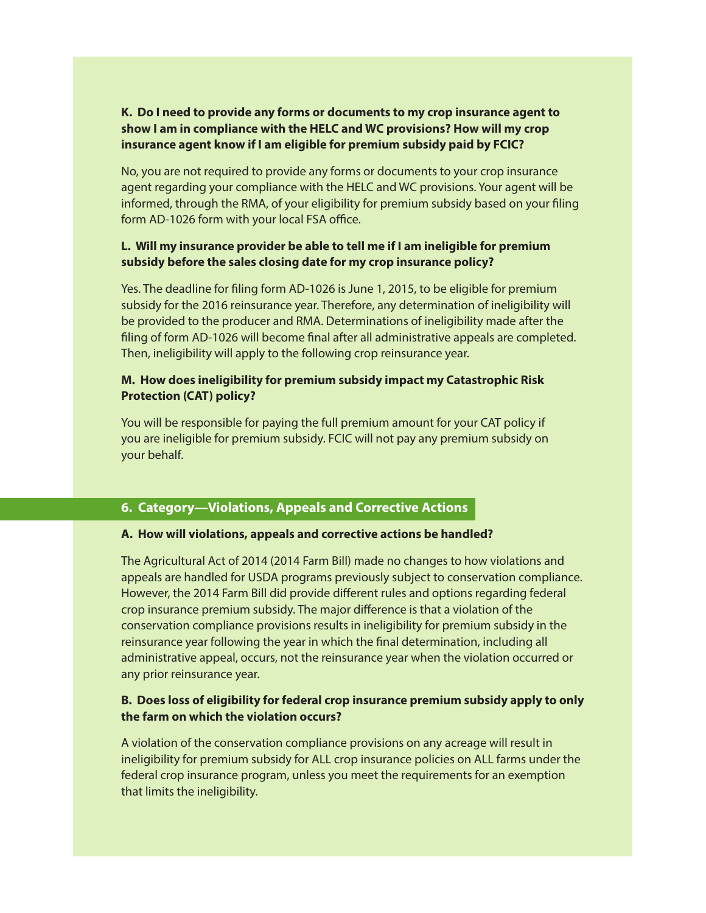# **K. Do I need to provide any forms or documents to my crop insurance agent to show I am in compliance with the HELC and WC provisions? How will my crop insurance agent know if I am eligible for premium subsidy paid by FCIC?**

No, you are not required to provide any forms or documents to your crop insurance agent regarding your compliance with the HELC and WC provisions. Your agent will be informed, through the RMA, of your eligibility for premium subsidy based on your filing form AD-1026 form with your local FSA office.

#### **L. Will my insurance provider be able to tell me if I am ineligible for premium subsidy before the sales closing date for my crop insurance policy?**

Yes. The deadline for filing form AD-1026 is June 1, 2015, to be eligible for premium subsidy for the 2016 reinsurance year. Therefore, any determination of ineligibility will be provided to the producer and RMA. Determinations of ineligibility made after the filing of form AD-1026 will become final after all administrative appeals are completed. Then, ineligibility will apply to the following crop reinsurance year.

# **M. How does ineligibility for premium subsidy impact my Catastrophic Risk Protection (CAT) policy?**

You will be responsible for paying the full premium amount for your CAT policy if you are ineligible for premium subsidy. FCIC will not pay any premium subsidy on your behalf.

# **6. Category—Violations, Appeals and Corrective Actions**

#### **A. How will violations, appeals and corrective actions be handled?**

The Agricultural Act of 2014 (2014 Farm Bill) made no changes to how violations and appeals are handled for USDA programs previously subject to conservation compliance. However, the 2014 Farm Bill did provide different rules and options regarding federal crop insurance premium subsidy. The major difference is that a violation of the conservation compliance provisions results in ineligibility for premium subsidy in the reinsurance year following the year in which the final determination, including all administrative appeal, occurs, not the reinsurance year when the violation occurred or any prior reinsurance year.

# **B. Does loss of eligibility for federal crop insurance premium subsidy apply to only the farm on which the violation occurs?**

A violation of the conservation compliance provisions on any acreage will result in ineligibility for premium subsidy for ALL crop insurance policies on ALL farms under the federal crop insurance program, unless you meet the requirements for an exemption that limits the ineligibility.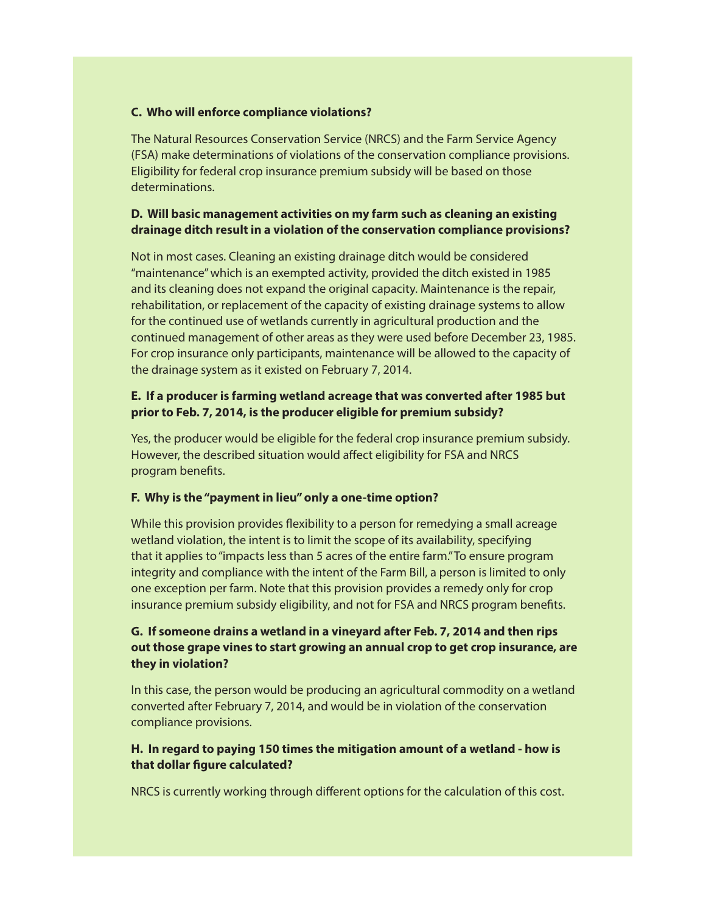#### **C. Who will enforce compliance violations?**

The Natural Resources Conservation Service (NRCS) and the Farm Service Agency (FSA) make determinations of violations of the conservation compliance provisions. Eligibility for federal crop insurance premium subsidy will be based on those determinations.

#### **D. Will basic management activities on my farm such as cleaning an existing drainage ditch result in a violation of the conservation compliance provisions?**

Not in most cases. Cleaning an existing drainage ditch would be considered "maintenance" which is an exempted activity, provided the ditch existed in 1985 and its cleaning does not expand the original capacity. Maintenance is the repair, rehabilitation, or replacement of the capacity of existing drainage systems to allow for the continued use of wetlands currently in agricultural production and the continued management of other areas as they were used before December 23, 1985. For crop insurance only participants, maintenance will be allowed to the capacity of the drainage system as it existed on February 7, 2014.

# **E. If a producer is farming wetland acreage that was converted after 1985 but prior to Feb. 7, 2014, is the producer eligible for premium subsidy?**

Yes, the producer would be eligible for the federal crop insurance premium subsidy. However, the described situation would affect eligibility for FSA and NRCS program benefits.

#### **F. Why is the "payment in lieu" only a one-time option?**

While this provision provides flexibility to a person for remedying a small acreage wetland violation, the intent is to limit the scope of its availability, specifying that it applies to "impacts less than 5 acres of the entire farm." To ensure program integrity and compliance with the intent of the Farm Bill, a person is limited to only one exception per farm. Note that this provision provides a remedy only for crop insurance premium subsidy eligibility, and not for FSA and NRCS program benefits.

# **G. If someone drains a wetland in a vineyard after Feb. 7, 2014 and then rips out those grape vines to start growing an annual crop to get crop insurance, are they in violation?**

In this case, the person would be producing an agricultural commodity on a wetland converted after February 7, 2014, and would be in violation of the conservation compliance provisions.

#### **H. In regard to paying 150 times the mitigation amount of a wetland - how is that dollar figure calculated?**

NRCS is currently working through different options for the calculation of this cost.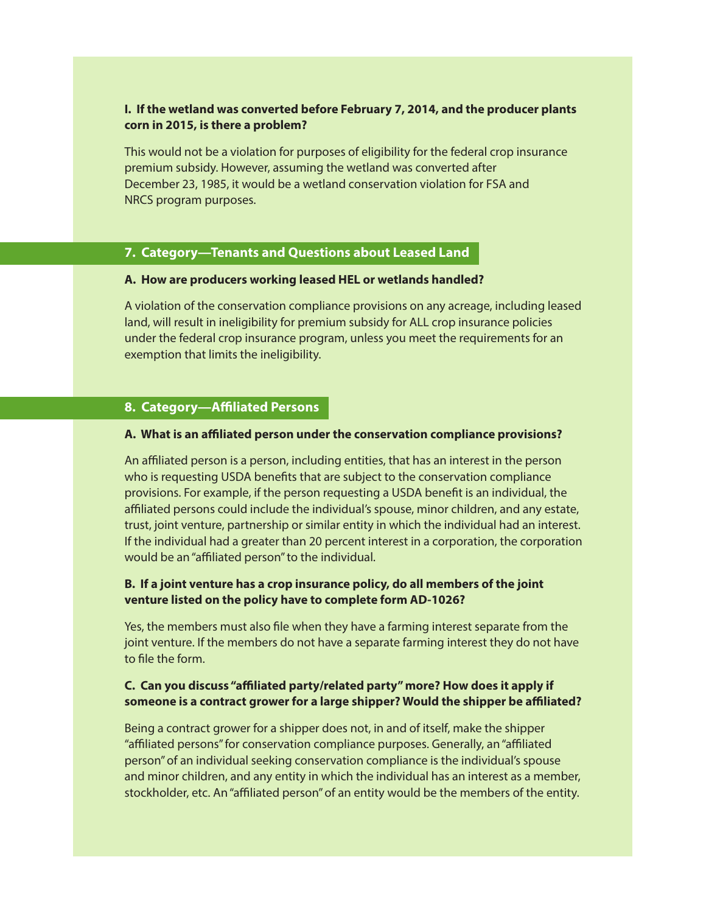#### **I. If the wetland was converted before February 7, 2014, and the producer plants corn in 2015, is there a problem?**

This would not be a violation for purposes of eligibility for the federal crop insurance premium subsidy. However, assuming the wetland was converted after December 23, 1985, it would be a wetland conservation violation for FSA and NRCS program purposes.

#### **7. Category—Tenants and Questions about Leased Land**

#### **A. How are producers working leased HEL or wetlands handled?**

A violation of the conservation compliance provisions on any acreage, including leased land, will result in ineligibility for premium subsidy for ALL crop insurance policies under the federal crop insurance program, unless you meet the requirements for an exemption that limits the ineligibility.

#### **8. Category—Affiliated Persons**

#### **A. What is an affiliated person under the conservation compliance provisions?**

An affiliated person is a person, including entities, that has an interest in the person who is requesting USDA benefits that are subject to the conservation compliance provisions. For example, if the person requesting a USDA benefit is an individual, the affiliated persons could include the individual's spouse, minor children, and any estate, trust, joint venture, partnership or similar entity in which the individual had an interest. If the individual had a greater than 20 percent interest in a corporation, the corporation would be an "affiliated person" to the individual.

#### **B. If a joint venture has a crop insurance policy, do all members of the joint venture listed on the policy have to complete form AD-1026?**

Yes, the members must also file when they have a farming interest separate from the joint venture. If the members do not have a separate farming interest they do not have to file the form.

#### **C. Can you discuss "affiliated party/related party" more? How does it apply if someone is a contract grower for a large shipper? Would the shipper be affiliated?**

Being a contract grower for a shipper does not, in and of itself, make the shipper "affiliated persons" for conservation compliance purposes. Generally, an "affiliated person" of an individual seeking conservation compliance is the individual's spouse and minor children, and any entity in which the individual has an interest as a member, stockholder, etc. An "affiliated person" of an entity would be the members of the entity.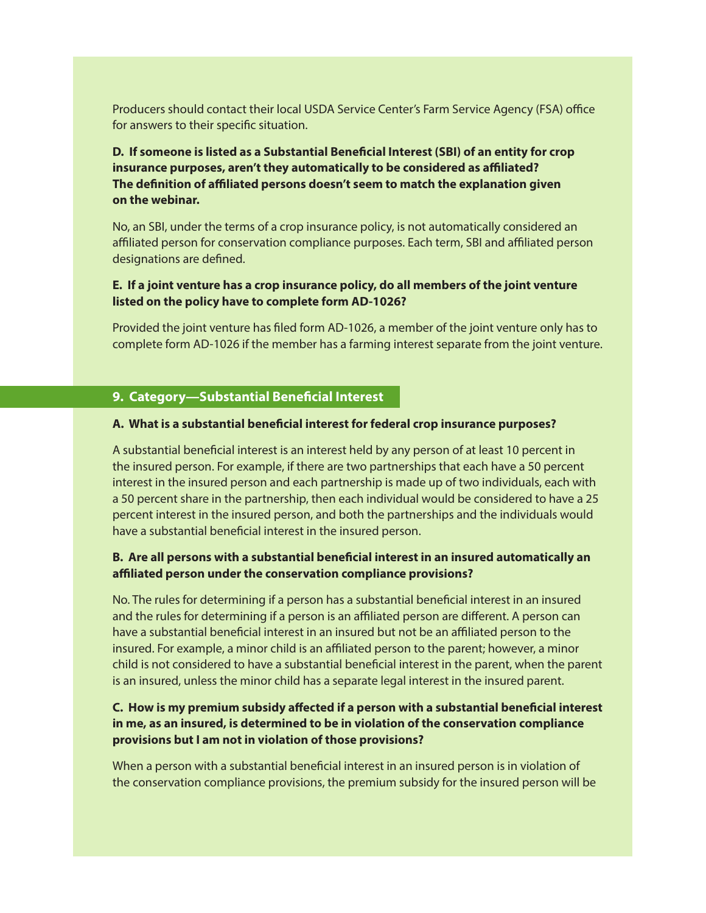Producers should contact their local USDA Service Center's Farm Service Agency (FSA) office for answers to their specific situation.

# **D. If someone is listed as a Substantial Beneficial Interest (SBI) of an entity for crop insurance purposes, aren't they automatically to be considered as affiliated? The definition of affiliated persons doesn't seem to match the explanation given on the webinar.**

No, an SBI, under the terms of a crop insurance policy, is not automatically considered an affiliated person for conservation compliance purposes. Each term, SBI and affiliated person designations are defined.

#### **E. If a joint venture has a crop insurance policy, do all members of the joint venture listed on the policy have to complete form AD-1026?**

Provided the joint venture has filed form AD-1026, a member of the joint venture only has to complete form AD-1026 if the member has a farming interest separate from the joint venture.

#### **9. Category—Substantial Beneficial Interest**

#### **A. What is a substantial beneficial interest for federal crop insurance purposes?**

A substantial beneficial interest is an interest held by any person of at least 10 percent in the insured person. For example, if there are two partnerships that each have a 50 percent interest in the insured person and each partnership is made up of two individuals, each with a 50 percent share in the partnership, then each individual would be considered to have a 25 percent interest in the insured person, and both the partnerships and the individuals would have a substantial beneficial interest in the insured person.

#### **B. Are all persons with a substantial beneficial interest in an insured automatically an affiliated person under the conservation compliance provisions?**

No. The rules for determining if a person has a substantial beneficial interest in an insured and the rules for determining if a person is an affiliated person are different. A person can have a substantial beneficial interest in an insured but not be an affiliated person to the insured. For example, a minor child is an affiliated person to the parent; however, a minor child is not considered to have a substantial beneficial interest in the parent, when the parent is an insured, unless the minor child has a separate legal interest in the insured parent.

#### **C. How is my premium subsidy affected if a person with a substantial beneficial interest in me, as an insured, is determined to be in violation of the conservation compliance provisions but I am not in violation of those provisions?**

When a person with a substantial beneficial interest in an insured person is in violation of the conservation compliance provisions, the premium subsidy for the insured person will be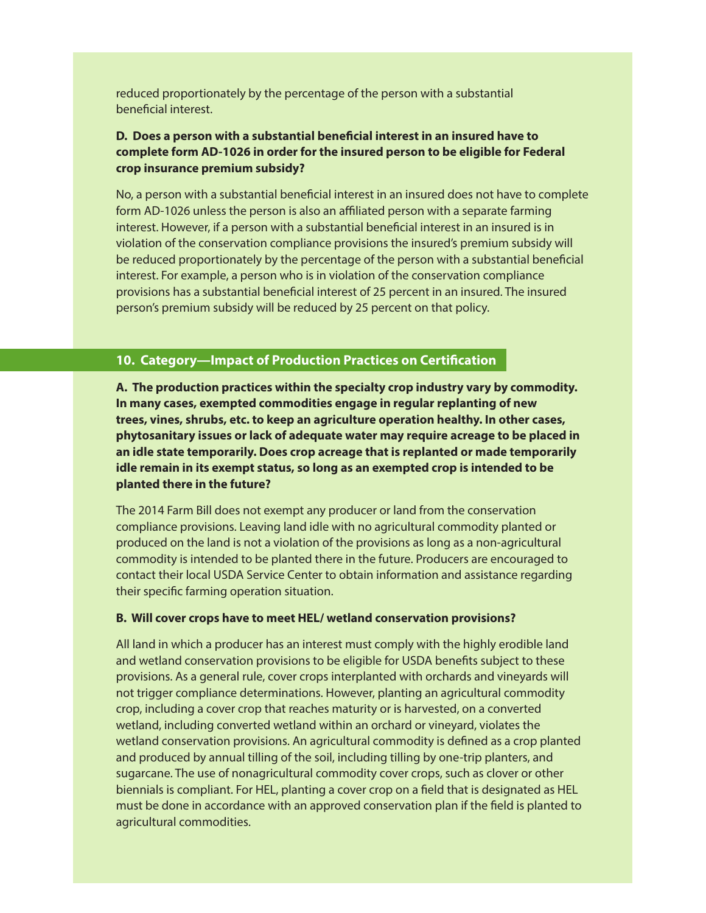reduced proportionately by the percentage of the person with a substantial beneficial interest.

# **D. Does a person with a substantial beneficial interest in an insured have to complete form AD-1026 in order for the insured person to be eligible for Federal crop insurance premium subsidy?**

No, a person with a substantial beneficial interest in an insured does not have to complete form AD-1026 unless the person is also an affiliated person with a separate farming interest. However, if a person with a substantial beneficial interest in an insured is in violation of the conservation compliance provisions the insured's premium subsidy will be reduced proportionately by the percentage of the person with a substantial beneficial interest. For example, a person who is in violation of the conservation compliance provisions has a substantial beneficial interest of 25 percent in an insured. The insured person's premium subsidy will be reduced by 25 percent on that policy.

#### **10. Category—Impact of Production Practices on Certification**

**A. The production practices within the specialty crop industry vary by commodity. In many cases, exempted commodities engage in regular replanting of new trees, vines, shrubs, etc. to keep an agriculture operation healthy. In other cases, phytosanitary issues or lack of adequate water may require acreage to be placed in an idle state temporarily. Does crop acreage that is replanted or made temporarily idle remain in its exempt status, so long as an exempted crop is intended to be planted there in the future?**

The 2014 Farm Bill does not exempt any producer or land from the conservation compliance provisions. Leaving land idle with no agricultural commodity planted or produced on the land is not a violation of the provisions as long as a non-agricultural commodity is intended to be planted there in the future. Producers are encouraged to contact their local USDA Service Center to obtain information and assistance regarding their specific farming operation situation.

#### **B. Will cover crops have to meet HEL/ wetland conservation provisions?**

All land in which a producer has an interest must comply with the highly erodible land and wetland conservation provisions to be eligible for USDA benefits subject to these provisions. As a general rule, cover crops interplanted with orchards and vineyards will not trigger compliance determinations. However, planting an agricultural commodity crop, including a cover crop that reaches maturity or is harvested, on a converted wetland, including converted wetland within an orchard or vineyard, violates the wetland conservation provisions. An agricultural commodity is defined as a crop planted and produced by annual tilling of the soil, including tilling by one-trip planters, and sugarcane. The use of nonagricultural commodity cover crops, such as clover or other biennials is compliant. For HEL, planting a cover crop on a field that is designated as HEL must be done in accordance with an approved conservation plan if the field is planted to agricultural commodities.